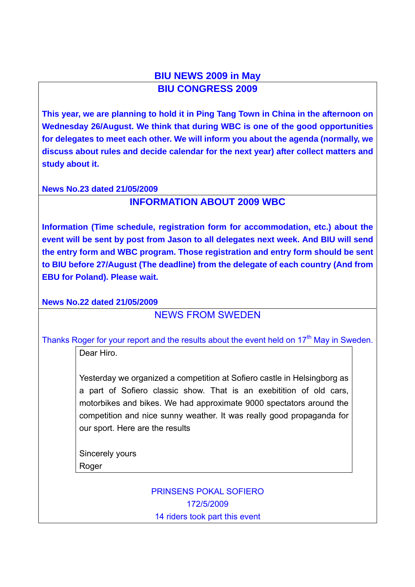## **BIU NEWS 2009 in May BIU CONGRESS 2009**

**This year, we are planning to hold it in Ping Tang Town in China in the afternoon on Wednesday 26/August. We think that during WBC is one of the good opportunities for delegates to meet each other. We will inform you about the agenda (normally, we discuss about rules and decide calendar for the next year) after collect matters and study about it.** 

#### **News No.23 dated 21/05/2009**

## **INFORMATION ABOUT 2009 WBC**

**Information (Time schedule, registration form for accommodation, etc.) about the event will be sent by post from Jason to all delegates next week. And BIU will send the entry form and WBC program. Those registration and entry form should be sent to BIU before 27/August (The deadline) from the delegate of each country (And from EBU for Poland). Please wait.** 

**News No.22 dated 21/05/2009**

### NEWS FROM SWEDEN

Thanks Roger for your report and the results about the event held on  $17<sup>th</sup>$  May in Sweden.

Dear Hiro.

Yesterday we organized a competition at Sofiero castle in Helsingborg as a part of Sofiero classic show. That is an exebitition of old cars, motorbikes and bikes. We had approximate 9000 spectators around the competition and nice sunny weather. It was really good propaganda for our sport. Here are the results

Sincerely yours Roger

> PRINSENS POKAL SOFIERO 172/5/2009 14 riders took part this event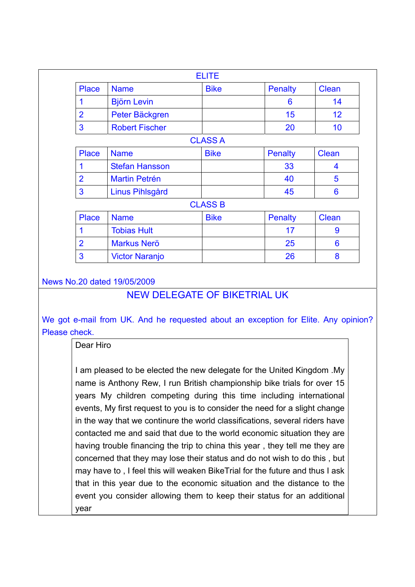|                |                       | <b>ELITE</b>   |                |                         |
|----------------|-----------------------|----------------|----------------|-------------------------|
| <b>Place</b>   | <b>Name</b>           | <b>Bike</b>    | <b>Penalty</b> | <b>Clean</b>            |
|                | <b>Björn Levin</b>    |                | 6              | 14                      |
| $\overline{2}$ | Peter Bäckgren        |                | 15             | 12                      |
| 3              | <b>Robert Fischer</b> |                | 20             | 10                      |
|                |                       | <b>CLASS A</b> |                |                         |
| Place          | <b>Name</b>           | <b>Bike</b>    | <b>Penalty</b> | Clean                   |
|                | <b>Stefan Hansson</b> |                | 33             | $\overline{\mathbf{4}}$ |
| $\overline{2}$ | <b>Martin Petrén</b>  |                | 40             | 5                       |
| 3              | Linus Pihlsgård       |                | 45             | $6\phantom{1}6$         |
|                |                       | <b>CLASS B</b> |                |                         |
| <b>Place</b>   | <b>Name</b>           | <b>Bike</b>    | <b>Penalty</b> | Clean                   |
| 1              | <b>Tobias Hult</b>    |                | 17             | 9                       |
| $\overline{2}$ | <b>Markus Nerö</b>    |                | 25             | 6                       |
| 3              | <b>Victor Naranjo</b> |                | 26             | 8                       |

### News No.20 dated 19/05/2009

## NEW DELEGATE OF BIKETRIAL UK

We got e-mail from UK. And he requested about an exception for Elite. Any opinion? Please check.

Dear Hiro

I am pleased to be elected the new delegate for the United Kingdom .My name is Anthony Rew, I run British championship bike trials for over 15 years My children competing during this time including international events, My first request to you is to consider the need for a slight change in the way that we continure the world classifications, several riders have contacted me and said that due to the world economic situation they are having trouble financing the trip to china this year , they tell me they are concerned that they may lose their status and do not wish to do this , but may have to , I feel this will weaken BikeTrial for the future and thus I ask that in this year due to the economic situation and the distance to the event you consider allowing them to keep their status for an additional year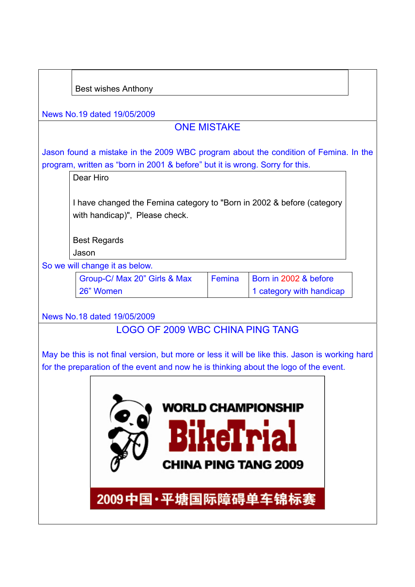| <b>Best wishes Anthony</b>                                                                     |                    |                             |  |
|------------------------------------------------------------------------------------------------|--------------------|-----------------------------|--|
| News No.19 dated 19/05/2009                                                                    |                    |                             |  |
|                                                                                                | <b>ONE MISTAKE</b> |                             |  |
|                                                                                                |                    |                             |  |
| Jason found a mistake in the 2009 WBC program about the condition of Femina. In the            |                    |                             |  |
| program, written as "born in 2001 & before" but it is wrong. Sorry for this.<br>Dear Hiro      |                    |                             |  |
|                                                                                                |                    |                             |  |
| I have changed the Femina category to "Born in 2002 & before (category                         |                    |                             |  |
| with handicap)", Please check.                                                                 |                    |                             |  |
|                                                                                                |                    |                             |  |
| <b>Best Regards</b>                                                                            |                    |                             |  |
| Jason                                                                                          |                    |                             |  |
| So we will change it as below.                                                                 |                    |                             |  |
| Group-C/ Max 20" Girls & Max                                                                   | Femina             | Born in 2002 & before       |  |
| 26" Women                                                                                      |                    | 1 category with handicap    |  |
| News No.18 dated 19/05/2009                                                                    |                    |                             |  |
| <b>LOGO OF 2009 WBC CHINA PING TANG</b>                                                        |                    |                             |  |
|                                                                                                |                    |                             |  |
| May be this is not final version, but more or less it will be like this. Jason is working hard |                    |                             |  |
| for the preparation of the event and now he is thinking about the logo of the event.           |                    |                             |  |
|                                                                                                |                    |                             |  |
|                                                                                                |                    |                             |  |
|                                                                                                |                    | <b>WORLD CHAMPIONSHIP</b>   |  |
|                                                                                                |                    |                             |  |
|                                                                                                |                    | <b>eTria</b>                |  |
|                                                                                                |                    |                             |  |
|                                                                                                |                    | <b>CHINA PING TANG 2009</b> |  |
|                                                                                                |                    |                             |  |
|                                                                                                |                    |                             |  |
| 2009中国·平塘国际障碍单车锦标赛                                                                             |                    |                             |  |
|                                                                                                |                    |                             |  |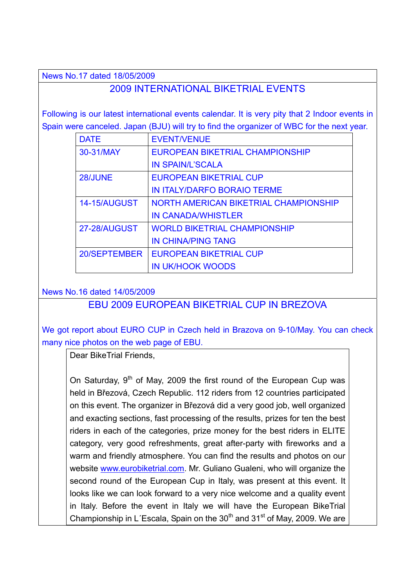News No.17 dated 18/05/2009

## 2009 INTERNATIONAL BIKETRIAL EVENTS

Following is our latest international events calendar. It is very pity that 2 Indoor events in Spain were canceled. Japan (BJU) will try to find the organizer of WBC for the next year.

| <b>DATE</b>         | <b>EVENT/VENUE</b>                    |
|---------------------|---------------------------------------|
| 30-31/MAY           | EUROPEAN BIKETRIAL CHAMPIONSHIP       |
|                     | <b>IN SPAIN/L'SCALA</b>               |
| 28/JUNE             | <b>EUROPEAN BIKETRIAL CUP</b>         |
|                     | <b>IN ITALY/DARFO BORAIO TERME</b>    |
| <b>14-15/AUGUST</b> | NORTH AMERICAN BIKETRIAL CHAMPIONSHIP |
|                     | <b>IN CANADA/WHISTLER</b>             |
| 27-28/AUGUST        | <b>WORLD BIKETRIAL CHAMPIONSHIP</b>   |
|                     | <b>IN CHINA/PING TANG</b>             |
| 20/SEPTEMBER        | <b>EUROPEAN BIKETRIAL CUP</b>         |
|                     | <b>IN UK/HOOK WOODS</b>               |

News No.16 dated 14/05/2009

### EBU 2009 EUROPEAN BIKETRIAL CUP IN BREZOVA

We got report about EURO CUP in Czech held in Brazova on 9-10/May. You can check many nice photos on the web page of EBU.

Dear BikeTrial Friends,

On Saturday,  $9<sup>th</sup>$  of May, 2009 the first round of the European Cup was held in Březová, Czech Republic. 112 riders from 12 countries participated on this event. The organizer in Březová did a very good job, well organized and exacting sections, fast processing of the results, prizes for ten the best riders in each of the categories, prize money for the best riders in ELITE category, very good refreshments, great after-party with fireworks and a warm and friendly atmosphere. You can find the results and photos on our website www.eurobiketrial.com. Mr. Guliano Gualeni, who will organize the second round of the European Cup in Italy, was present at this event. It looks like we can look forward to a very nice welcome and a quality event in Italy. Before the event in Italy we will have the European BikeTrial Championship in L'Escala, Spain on the  $30<sup>th</sup>$  and  $31<sup>st</sup>$  of May, 2009. We are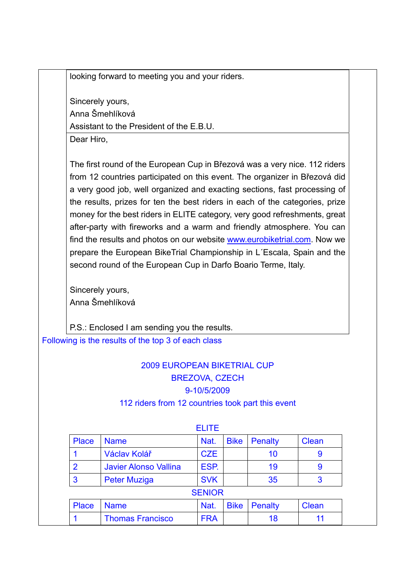looking forward to meeting you and your riders.

Sincerely yours, Anna Šmehlíková Assistant to the President of the E.B.U.

Dear Hiro,

The first round of the European Cup in Březová was a very nice. 112 riders from 12 countries participated on this event. The organizer in Březová did a very good job, well organized and exacting sections, fast processing of the results, prizes for ten the best riders in each of the categories, prize money for the best riders in ELITE category, very good refreshments, great after-party with fireworks and a warm and friendly atmosphere. You can find the results and photos on our website www.eurobiketrial.com. Now we prepare the European BikeTrial Championship in L´Escala, Spain and the second round of the European Cup in Darfo Boario Terme, Italy.

Sincerely yours, Anna Šmehlíková

P.S.: Enclosed I am sending you the results.

Following is the results of the top 3 of each class

# 2009 EUROPEAN BIKETRIAL CUP BREZOVA, CZECH 9-10/5/2009

#### 112 riders from 12 countries took part this event

|                |                              | FULF.         |             |         |              |
|----------------|------------------------------|---------------|-------------|---------|--------------|
| <b>Place</b>   | <b>Name</b>                  | Nat.          | <b>Bike</b> | Penalty | <b>Clean</b> |
|                | Václav Kolář                 | <b>CZE</b>    |             | 10      | 9            |
| $\overline{2}$ | <b>Javier Alonso Vallina</b> | ESP.          |             | 19      | 9            |
| $\overline{3}$ | <b>Peter Muziga</b>          | <b>SVK</b>    |             | 35      | 3            |
|                |                              | <b>SENIOR</b> |             |         |              |
| <b>Place</b>   | <b>Name</b>                  | Nat.          | <b>Bike</b> | Penalty | <b>Clean</b> |
|                | <b>Thomas Francisco</b>      | <b>FRA</b>    |             | 18      |              |

#### ELITE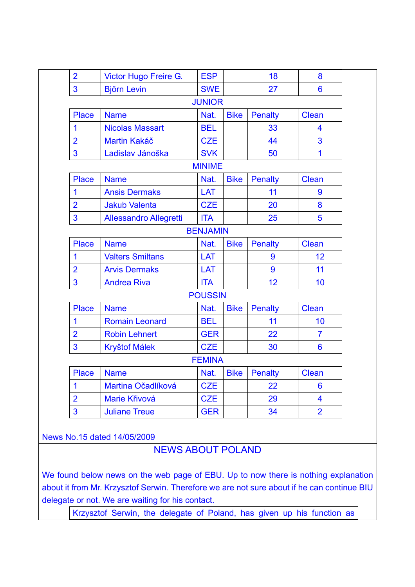| $\overline{2}$ | Victor Hugo Freire G.         | <b>ESP</b>      |             | 18             | 8              |  |
|----------------|-------------------------------|-----------------|-------------|----------------|----------------|--|
| $\overline{3}$ | <b>Björn Levin</b>            | <b>SWE</b>      |             | 27             | $6\phantom{1}$ |  |
| <b>JUNIOR</b>  |                               |                 |             |                |                |  |
| <b>Place</b>   | <b>Name</b>                   | Nat.            | <b>Bike</b> | <b>Penalty</b> | <b>Clean</b>   |  |
| $\mathbf 1$    | <b>Nicolas Massart</b>        | <b>BEL</b>      |             | 33             | 4              |  |
| $\overline{2}$ | <b>Martin Kakáč</b>           | <b>CZE</b>      |             | 44             | 3              |  |
| 3              | Ladislav Jánoška              | <b>SVK</b>      |             | 50             | $\mathbf 1$    |  |
|                |                               | <b>MINIME</b>   |             |                |                |  |
| <b>Place</b>   | <b>Name</b>                   | Nat.            | <b>Bike</b> | <b>Penalty</b> | <b>Clean</b>   |  |
| $\mathbf 1$    | <b>Ansis Dermaks</b>          | LAT             |             | 11             | 9              |  |
| $\overline{2}$ | <b>Jakub Valenta</b>          | <b>CZE</b>      |             | 20             | 8              |  |
| $\overline{3}$ | <b>Allessandro Allegretti</b> | <b>ITA</b>      |             | 25             | 5              |  |
|                |                               | <b>BENJAMIN</b> |             |                |                |  |
| <b>Place</b>   | <b>Name</b>                   | Nat.            | <b>Bike</b> | <b>Penalty</b> | <b>Clean</b>   |  |
| 1              | <b>Valters Smiltans</b>       | LAT             |             | 9              | 12             |  |
| $\overline{2}$ | <b>Arvis Dermaks</b>          | LAT             |             | 9              | 11             |  |
| 3              | <b>Andrea Riva</b>            | <b>ITA</b>      |             | 12             | 10             |  |
|                |                               | <b>POUSSIN</b>  |             |                |                |  |
| <b>Place</b>   | <b>Name</b>                   | Nat.            | <b>Bike</b> | <b>Penalty</b> | <b>Clean</b>   |  |
| $\mathbf 1$    | <b>Romain Leonard</b>         | <b>BEL</b>      |             | 11             | 10             |  |
| $\overline{2}$ | <b>Robin Lehnert</b>          | <b>GER</b>      |             | 22             | $\overline{7}$ |  |
| $\overline{3}$ | <b>Kryštof Málek</b>          | <b>CZE</b>      |             | 30             | $6\phantom{1}$ |  |
|                |                               | <b>FEMINA</b>   |             |                |                |  |
| <b>Place</b>   | <b>Name</b>                   | Nat.            | <b>Bike</b> | <b>Penalty</b> | <b>Clean</b>   |  |
| $\mathbf 1$    | Martina Očadlíková            | <b>CZE</b>      |             | 22             | $6\phantom{1}$ |  |
| $\overline{2}$ | Marie Křivová                 | <b>CZE</b>      |             | 29             | 4              |  |
| 3              | <b>Juliane Treue</b>          | <b>GER</b>      |             | 34             | $\overline{2}$ |  |

News No.15 dated 14/05/2009

# NEWS ABOUT POLAND

We found below news on the web page of EBU. Up to now there is nothing explanation about it from Mr. Krzysztof Serwin. Therefore we are not sure about if he can continue BIU delegate or not. We are waiting for his contact.

Krzysztof Serwin, the delegate of Poland, has given up his function as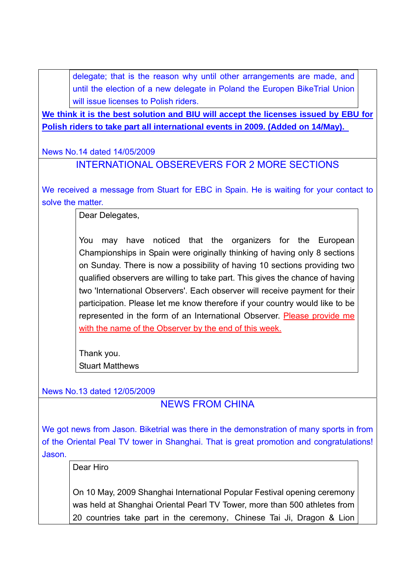delegate; that is the reason why until other arrangements are made, and until the election of a new delegate in Poland the Europen BikeTrial Union will issue licenses to Polish riders.

**We think it is the best solution and BIU will accept the licenses issued by EBU for Polish riders to take part all international events in 2009. (Added on 14/May).** 

News No.14 dated 14/05/2009

INTERNATIONAL OBSEREVERS FOR 2 MORE SECTIONS

We received a message from Stuart for EBC in Spain. He is waiting for your contact to solve the matter.

Dear Delegates,

You may have noticed that the organizers for the European Championships in Spain were originally thinking of having only 8 sections on Sunday. There is now a possibility of having 10 sections providing two qualified observers are willing to take part. This gives the chance of having two 'International Observers'. Each observer will receive payment for their participation. Please let me know therefore if your country would like to be represented in the form of an International Observer. Please provide me with the name of the Observer by the end of this week.

Thank you. Stuart Matthews

News No.13 dated 12/05/2009

NEWS FROM CHINA

We got news from Jason. Biketrial was there in the demonstration of many sports in from of the Oriental Peal TV tower in Shanghai. That is great promotion and congratulations! Jason.

Dear Hiro

On 10 May, 2009 Shanghai International Popular Festival opening ceremony was held at Shanghai Oriental Pearl TV Tower, more than 500 athletes from 20 countries take part in the ceremony, Chinese Tai Ji, Dragon & Lion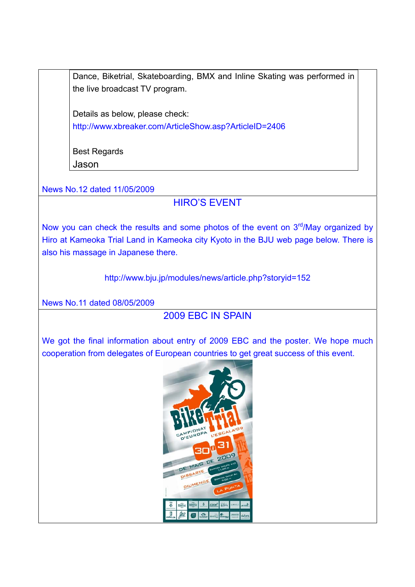Dance, Biketrial, Skateboarding, BMX and Inline Skating was performed in the live broadcast TV program.

Details as below, please check: http://www.xbreaker.com/ArticleShow.asp?ArticleID=2406

Best Regards Jason

News No.12 dated 11/05/2009

## HIRO'S EVENT

Now you can check the results and some photos of the event on  $3<sup>rd</sup>/May$  organized by Hiro at Kameoka Trial Land in Kameoka city Kyoto in the BJU web page below. There is also his massage in Japanese there.

http://www.bju.jp/modules/news/article.php?storyid=152

News No.11 dated 08/05/2009

## 2009 EBC IN SPAIN

We got the final information about entry of 2009 EBC and the poster. We hope much cooperation from delegates of European countries to get great success of this event.

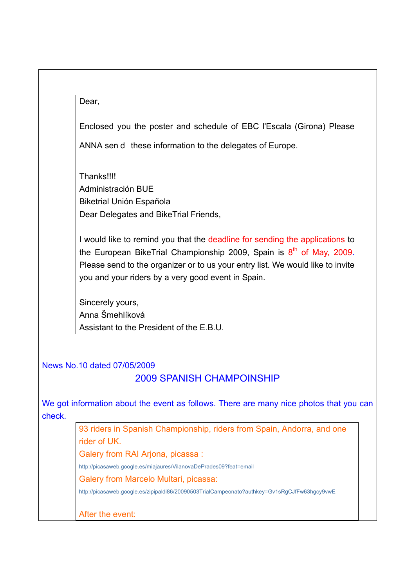| × |
|---|
|---|

Enclosed you the poster and schedule of EBC l'Escala (Girona) Please

ANNA send these information to the delegates of Europe.

**Thanks!!!!** Administración BUE Biketrial Unión Española

Dear Delegates and BikeTrial Friends,

I would like to remind you that the deadline for sending the applications to the European BikeTrial Championship 2009, Spain is  $8<sup>th</sup>$  of May, 2009. Please send to the organizer or to us your entry list. We would like to invite you and your riders by a very good event in Spain.

Sincerely yours, Anna Šmehlíková Assistant to the President of the E.B.U.

News No.10 dated 07/05/2009

### 2009 SPANISH CHAMPOINSHIP

We got information about the event as follows. There are many nice photos that you can check.

> 93 riders in Spanish Championship, riders from Spain, Andorra, and one rider of UK. Galery from RAI Ariona, picassa :

http://picasaweb.google.es/miajaures/VilanovaDePrades09?feat=email

Galery from Marcelo Multari, picassa:

http://picasaweb.google.es/zipipaldi86/20090503TrialCampeonato?authkey=Gv1sRgCJfFw63hgcy9vwE

After the event: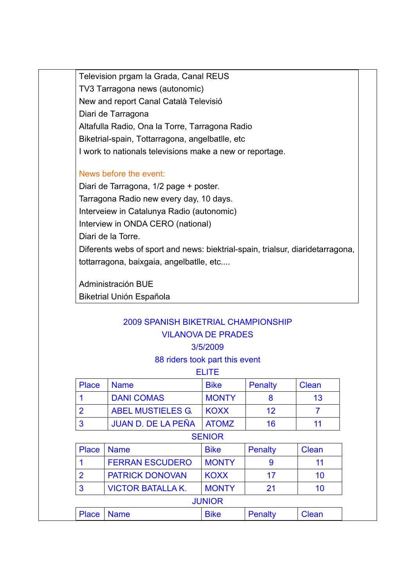Television prgam la Grada, Canal REUS TV3 Tarragona news (autonomic) New and report Canal Català Televisió Diari de Tarragona Altafulla Radio, Ona la Torre, Tarragona Radio Biketrial-spain, Tottarragona, angelbatlle, etc I work to nationals televisions make a new or reportage.

### News before the event:

Diari de Tarragona, 1/2 page + poster. Tarragona Radio new every day, 10 days. Interveiew in Catalunya Radio (autonomic) Interview in ONDA CERO (national) Diari de la Torre. Diferents webs of sport and news: biektrial-spain, trialsur, diaridetarragona, tottarragona, baixgaia, angelbatlle, etc....

Administración BUE Biketrial Unión Española

# 2009 SPANISH BIKETRIAL CHAMPIONSHIP VILANOVA DE PRADES

### 3/5/2009

#### 88 riders took part this event

|       |                           | FLITE.       |         |       |
|-------|---------------------------|--------------|---------|-------|
| Place | <b>Name</b>               | <b>Bike</b>  | Penalty | Clean |
|       | <b>DANI COMAS</b>         | <b>MONTY</b> |         | 13    |
|       | <b>ABEL MUSTIELES G.</b>  | <b>KOXX</b>  | 12      |       |
| -3    | <b>JUAN D. DE LA PEÑA</b> | <b>ATOMZ</b> | 16      |       |

## **SENIOR** Place Name Bike Penalty Clean 1 FERRAN ESCUDERO MONTY 9 11 2 PATRICK DONOVAN KOXX 17 17 10 3 VICTOR BATALLA K. MONTY | 21 | 10 JUNIOR Place Name Bike Penalty Clean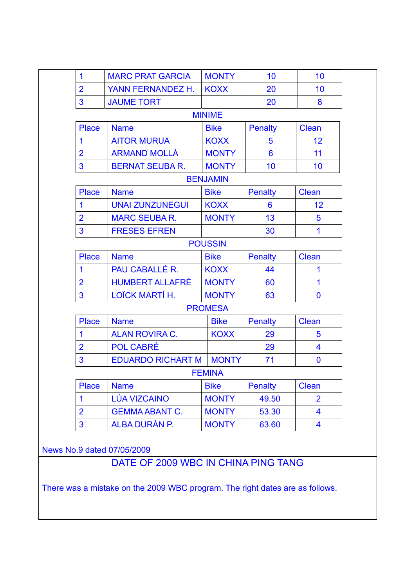| $\mathbf 1$    | <b>MARC PRAT GARCIA</b>  | <b>MONTY</b>    | 10              | 10                      |
|----------------|--------------------------|-----------------|-----------------|-------------------------|
| $\overline{2}$ | YANN FERNANDEZ H.        | <b>KOXX</b>     | 20              | 10                      |
| 3              | <b>JAUME TORT</b>        |                 | 20              | 8                       |
|                |                          | <b>MINIME</b>   |                 |                         |
| <b>Place</b>   | <b>Name</b>              | <b>Bike</b>     | <b>Penalty</b>  | <b>Clean</b>            |
| 1              | <b>AITOR MURUA</b>       | <b>KOXX</b>     | 5               | 12                      |
| $\overline{2}$ | <b>ARMAND MOLLÀ</b>      | <b>MONTY</b>    | $6\phantom{1}6$ | 11                      |
| 3              | <b>BERNAT SEUBA R.</b>   | <b>MONTY</b>    | 10              | 10                      |
|                |                          | <b>BENJAMIN</b> |                 |                         |
| <b>Place</b>   | <b>Name</b>              | <b>Bike</b>     | <b>Penalty</b>  | <b>Clean</b>            |
| 1              | <b>UNAI ZUNZUNEGUI</b>   | <b>KOXX</b>     | 6               | 12                      |
| $\overline{2}$ | <b>MARC SEUBA R.</b>     | <b>MONTY</b>    | 13              | 5                       |
| $\overline{3}$ | <b>FRESES EFREN</b>      |                 | 30              | 1                       |
|                |                          | <b>POUSSIN</b>  |                 |                         |
| <b>Place</b>   | <b>Name</b>              | <b>Bike</b>     | <b>Penalty</b>  | <b>Clean</b>            |
| $\mathbf 1$    | PAU CABALLÉ R.           | <b>KOXX</b>     | 44              | 1                       |
| $\overline{2}$ | <b>HUMBERT ALLAFRÉ</b>   | <b>MONTY</b>    | 60              | 1                       |
| 3              | LOÏCK MARTÍ H.           | <b>MONTY</b>    | 63              | $\bf{0}$                |
|                |                          | <b>PROMESA</b>  |                 |                         |
| <b>Place</b>   | <b>Name</b>              | <b>Bike</b>     | <b>Penalty</b>  | <b>Clean</b>            |
| 1              | <b>ALAN ROVIRA C.</b>    | <b>KOXX</b>     | 29              | 5                       |
| $\overline{2}$ | <b>POL CABRÉ</b>         |                 | 29              | $\overline{\mathbf{4}}$ |
| 3              | <b>EDUARDO RICHART M</b> | <b>MONTY</b>    | 71              | $\bf{0}$                |
|                |                          | <b>FEMINA</b>   |                 |                         |
| <b>Place</b>   | <b>Name</b>              | <b>Bike</b>     | <b>Penalty</b>  | <b>Clean</b>            |
| 1              | <b>LÚA VIZCAINO</b>      | <b>MONTY</b>    | 49.50           | $\overline{2}$          |
| $\overline{2}$ | <b>GEMMA ABANT C.</b>    | <b>MONTY</b>    | 53.30           | $\overline{\mathbf{4}}$ |
| $\overline{3}$ | ALBA DURÁN P.            | <b>MONTY</b>    | 63.60           | 4                       |

News No.9 dated 07/05/2009

DATE OF 2009 WBC IN CHINA PING TANG

There was a mistake on the 2009 WBC program. The right dates are as follows.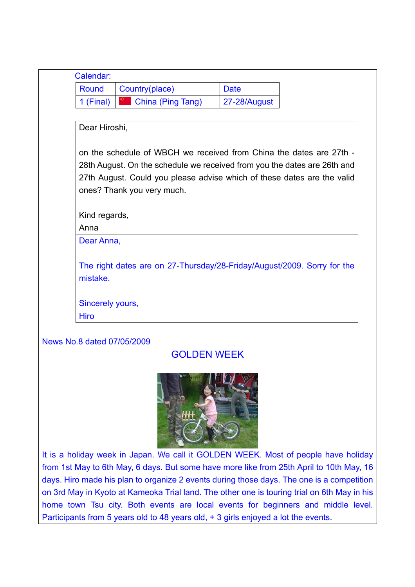| Round            | Country(place)                                                           | <b>Date</b>  |  |
|------------------|--------------------------------------------------------------------------|--------------|--|
| 1 (Final)        | <b>Example 12</b> China (Ping Tang)                                      | 27-28/August |  |
|                  |                                                                          |              |  |
| Dear Hiroshi,    |                                                                          |              |  |
|                  | on the schedule of WBCH we received from China the dates are 27th -      |              |  |
|                  | 28th August. On the schedule we received from you the dates are 26th and |              |  |
|                  | 27th August. Could you please advise which of these dates are the valid  |              |  |
|                  | ones? Thank you very much.                                               |              |  |
|                  |                                                                          |              |  |
| Kind regards,    |                                                                          |              |  |
|                  |                                                                          |              |  |
| Anna             |                                                                          |              |  |
| Dear Anna,       |                                                                          |              |  |
|                  |                                                                          |              |  |
|                  | The right dates are on 27-Thursday/28-Friday/August/2009. Sorry for the  |              |  |
| mistake.         |                                                                          |              |  |
| Sincerely yours, |                                                                          |              |  |

## GOLDEN WEEK



It is a holiday week in Japan. We call it GOLDEN WEEK. Most of people have holiday from 1st May to 6th May, 6 days. But some have more like from 25th April to 10th May, 16 days. Hiro made his plan to organize 2 events during those days. The one is a competition on 3rd May in Kyoto at Kameoka Trial land. The other one is touring trial on 6th May in his home town Tsu city. Both events are local events for beginners and middle level. Participants from 5 years old to 48 years old, + 3 girls enjoyed a lot the events.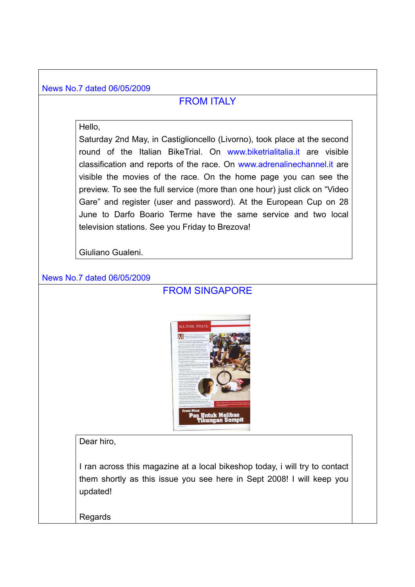#### News No.7 dated 06/05/2009

### FROM ITALY

#### Hello,

Saturday 2nd May, in Castiglioncello (Livorno), took place at the second round of the Italian BikeTrial. On www.biketrialitalia.it are visible classification and reports of the race. On www.adrenalinechannel.it are visible the movies of the race. On the home page you can see the preview. To see the full service (more than one hour) just click on "Video Gare" and register (user and password). At the European Cup on 28 June to Darfo Boario Terme have the same service and two local television stations. See you Friday to Brezova!

Giuliano Gualeni.

#### News No.7 dated 06/05/2009

### FROM SINGAPORE



Dear hiro,

I ran across this magazine at a local bikeshop today, i will try to contact them shortly as this issue you see here in Sept 2008! I will keep you updated!

Regards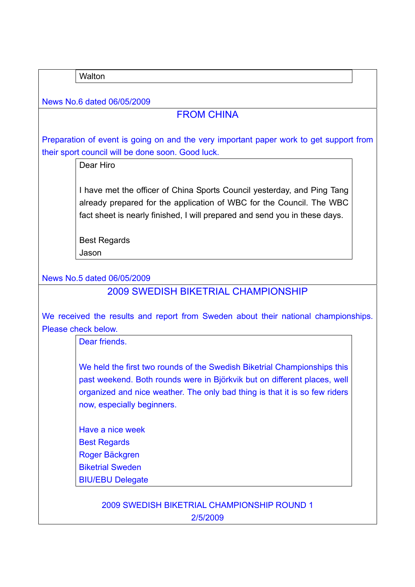**Walton** 

News No.6 dated 06/05/2009

## FROM CHINA

Preparation of event is going on and the very important paper work to get support from their sport council will be done soon. Good luck.

Dear Hiro

I have met the officer of China Sports Council yesterday, and Ping Tang already prepared for the application of WBC for the Council. The WBC fact sheet is nearly finished, I will prepared and send you in these days.

Best Regards Jason

News No.5 dated 06/05/2009

2009 SWEDISH BIKETRIAL CHAMPIONSHIP

We received the results and report from Sweden about their national championships. Please check below.

Dear friends.

We held the first two rounds of the Swedish Biketrial Championships this past weekend. Both rounds were in Björkvik but on different places, well organized and nice weather. The only bad thing is that it is so few riders now, especially beginners.

Have a nice week Best Regards Roger Bäckgren Biketrial Sweden BIU/EBU Delegate

> 2009 SWEDISH BIKETRIAL CHAMPIONSHIP ROUND 1 2/5/2009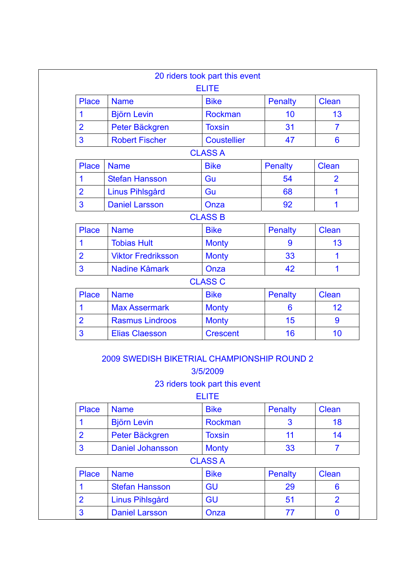| <b>Place</b>   | <b>Name</b>               | <b>Bike</b>        | <b>Penalty</b>  | <b>Clean</b>    |
|----------------|---------------------------|--------------------|-----------------|-----------------|
| 1              | <b>Björn Levin</b>        | <b>Rockman</b>     | 10              | 13              |
| $\overline{2}$ | Peter Bäckgren            | <b>Toxsin</b>      | 31              | $\overline{7}$  |
| 3              | <b>Robert Fischer</b>     | <b>Coustellier</b> | 47              | $6\phantom{1}6$ |
|                |                           | <b>CLASS A</b>     |                 |                 |
| <b>Place</b>   | <b>Name</b>               | <b>Bike</b>        | <b>Penalty</b>  | Clean           |
| $\mathbf 1$    | <b>Stefan Hansson</b>     | Gu                 | 54              | $\overline{2}$  |
| $\overline{2}$ | Linus Pihlsgård           | Gu                 | 68              | 1               |
| 3              | <b>Daniel Larsson</b>     | Onza               | 92              | 1               |
|                |                           | <b>CLASS B</b>     |                 |                 |
| <b>Place</b>   | <b>Name</b>               | <b>Bike</b>        | <b>Penalty</b>  | <b>Clean</b>    |
| $\mathbf 1$    | <b>Tobias Hult</b>        | <b>Monty</b>       | 9               | 13              |
| $\overline{2}$ | <b>Viktor Fredriksson</b> | <b>Monty</b>       | 33              | 1               |
| 3              | <b>Nadine Kåmark</b>      | Onza               | 42              | 1               |
|                |                           | <b>CLASS C</b>     |                 |                 |
| <b>Place</b>   | <b>Name</b>               | <b>Bike</b>        | <b>Penalty</b>  | <b>Clean</b>    |
| $\mathbf 1$    | <b>Max Assermark</b>      | <b>Monty</b>       | $6\phantom{1}6$ | 12              |
| $\overline{2}$ | <b>Rasmus Lindroos</b>    | <b>Monty</b>       | 15              | 9               |
| 3              | <b>Elias Claesson</b>     | <b>Crescent</b>    | 16              | 10              |

#### 3/5/2009

## 23 riders took part this event

ELITE

| <b>Place</b>   | <b>Name</b>             | <b>Bike</b>    | <b>Penalty</b> | <b>Clean</b>   |
|----------------|-------------------------|----------------|----------------|----------------|
|                | <b>Björn Levin</b>      | <b>Rockman</b> | 3              | 18             |
| $\overline{2}$ | Peter Bäckgren          | <b>Toxsin</b>  | 11             | 14             |
| 3              | <b>Daniel Johansson</b> | <b>Monty</b>   | 33             |                |
|                |                         | <b>CLASS A</b> |                |                |
| Place          | <b>Name</b>             | <b>Bike</b>    | <b>Penalty</b> | <b>Clean</b>   |
|                | <b>Stefan Hansson</b>   | <b>GU</b>      | 29             | 6              |
| $\overline{2}$ | Linus Pihlsgård         | <b>GU</b>      | 51             | $\overline{2}$ |
| 3              | <b>Daniel Larsson</b>   | Onza           | 77             | O              |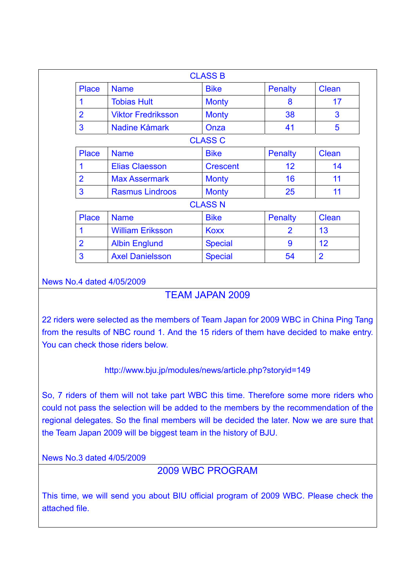|                |                           | <b>CLASS B</b>  |                 |                |
|----------------|---------------------------|-----------------|-----------------|----------------|
| <b>Place</b>   | <b>Name</b>               | <b>Bike</b>     | <b>Penalty</b>  | Clean          |
| 1              | <b>Tobias Hult</b>        | <b>Monty</b>    | 8               | 17             |
| $\overline{2}$ | <b>Viktor Fredriksson</b> | <b>Monty</b>    | 38              | 3              |
| 3              | Nadine Kåmark             | Onza            | 41              | 5              |
|                |                           | <b>CLASS C</b>  |                 |                |
| <b>Place</b>   | <b>Name</b>               | <b>Bike</b>     | <b>Penalty</b>  | Clean          |
| 1              | <b>Elias Claesson</b>     | <b>Crescent</b> | 12 <sup>2</sup> | 14             |
| $\overline{2}$ | <b>Max Assermark</b>      | <b>Monty</b>    | 16              | 11             |
| 3              | <b>Rasmus Lindroos</b>    | <b>Monty</b>    | 25              | 11             |
|                |                           | <b>CLASS N</b>  |                 |                |
| <b>Place</b>   | <b>Name</b>               | <b>Bike</b>     | <b>Penalty</b>  | <b>Clean</b>   |
| 1              | <b>William Eriksson</b>   | <b>Koxx</b>     | $\overline{2}$  | 13             |
| $\overline{2}$ | <b>Albin Englund</b>      | <b>Special</b>  | 9               | 12             |
| 3              | <b>Axel Danielsson</b>    | <b>Special</b>  | 54              | $\overline{2}$ |

### News No.4 dated 4/05/2009

### TEAM JAPAN 2009

22 riders were selected as the members of Team Japan for 2009 WBC in China Ping Tang from the results of NBC round 1. And the 15 riders of them have decided to make entry. You can check those riders below.

### http://www.bju.jp/modules/news/article.php?storyid=149

So, 7 riders of them will not take part WBC this time. Therefore some more riders who could not pass the selection will be added to the members by the recommendation of the regional delegates. So the final members will be decided the later. Now we are sure that the Team Japan 2009 will be biggest team in the history of BJU.

News No.3 dated 4/05/2009

### 2009 WBC PROGRAM

This time, we will send you about BIU official program of 2009 WBC. Please check the attached file.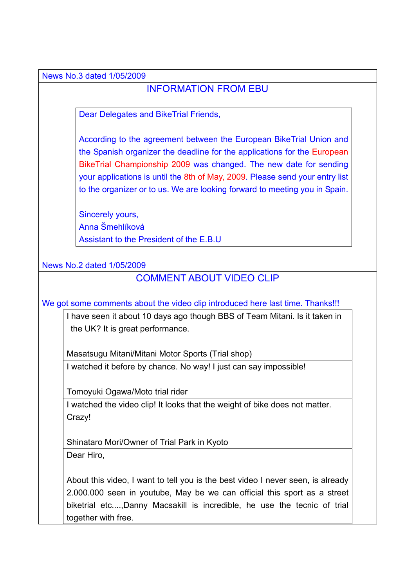News No.3 dated 1/05/2009

## INFORMATION FROM EBU

Dear Delegates and BikeTrial Friends,

According to the agreement between the European BikeTrial Union and the Spanish organizer the deadline for the applications for the European BikeTrial Championship 2009 was changed. The new date for sending your applications is until the 8th of May, 2009. Please send your entry list to the organizer or to us. We are looking forward to meeting you in Spain.

Sincerely yours, Anna Šmehlíková Assistant to the President of the E.B.U

News No.2 dated 1/05/2009

## COMMENT ABOUT VIDEO CLIP

We got some comments about the video clip introduced here last time. Thanks!!!

I have seen it about 10 days ago though BBS of Team Mitani. Is it taken in the UK? It is great performance.

Masatsugu Mitani/Mitani Motor Sports (Trial shop)

I watched it before by chance. No way! I just can say impossible!

Tomoyuki Ogawa/Moto trial rider

I watched the video clip! It looks that the weight of bike does not matter. Crazy!

Shinataro Mori/Owner of Trial Park in Kyoto Dear Hiro,

About this video, I want to tell you is the best video I never seen, is already 2.000.000 seen in youtube, May be we can official this sport as a street biketrial etc....,Danny Macsakill is incredible, he use the tecnic of trial together with free.